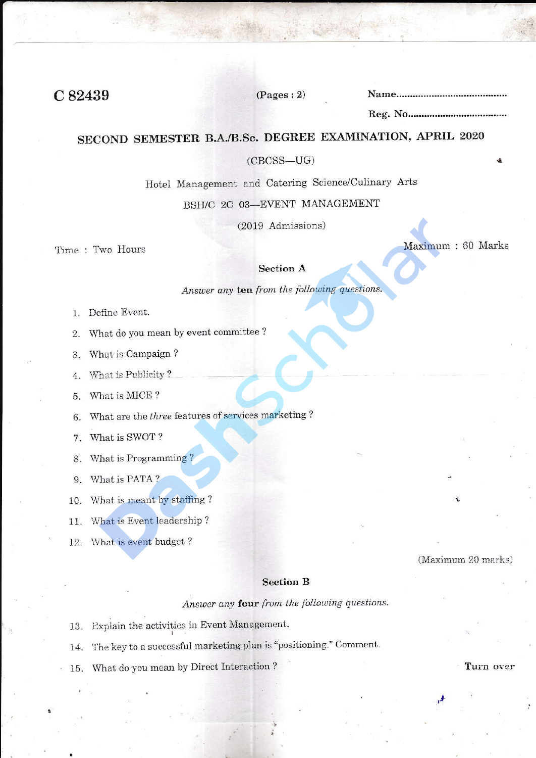C82439

 $(Pages: 2)$ 

# SECOND SEMESTER B.A./B.Sc. DEGREE EXAMINATION, APRIL 2020

#### $(CBCSS-UG)$

Hotel Management and Catering Science/Culinary Arts

# BSH/C 2C 03-EVENT MANAGEMENT

(2019 Admissions)

Time: Two Hours

Maximum: 60 Marks

# **Section A**

Answer any ten from the following questions.

- 1. Define Event.
- What do you mean by event committee ? 2.
- What is Campaign? 3.
- What is Publicity? 4.
- What is MICE? 5.
- What are the three features of services marketing? 6.
- What is SWOT? 7.
- What is Programming? 8.
- What is PATA? 9.
- What is meant by staffing? 10.
- What is Event leadership? 11.
- 12. What is event budget?

#### (Maximum 20 marks)

# **Section B**

Answer any four from the following questions.

- 13. Explain the activities in Event Management.
- The key to a successful marketing plan is "positioning." Comment. 14.
- What do you mean by Direct Interaction? 15.

Turn over